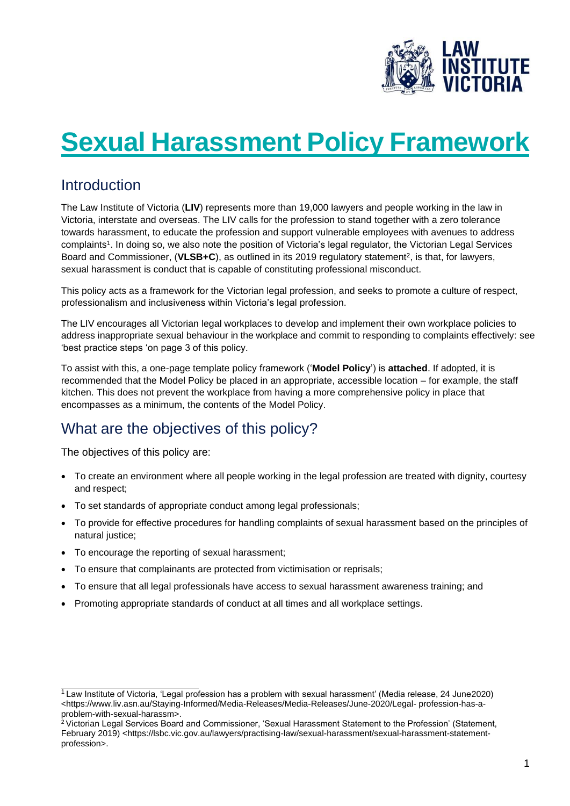

# **Sexual Harassment Policy Framework**

### Introduction

The Law Institute of Victoria (**LIV**) represents more than 19,000 lawyers and people working in the law in Victoria, interstate and overseas. The LIV calls for the profession to stand together with a zero tolerance towards harassment, to educate the profession and support vulnerable employees with avenues to address complaints<sup>1</sup> . In doing so, we also note the position of Victoria's legal regulator, the Victorian Legal Services Board and Commissioner, (VLSB+C), as outlined in its 2019 regulatory statement<sup>2</sup>, is that, for lawyers, sexual harassment is conduct that is capable of constituting professional misconduct.

This policy acts as a framework for the Victorian legal profession, and seeks to promote a culture of respect, professionalism and inclusiveness within Victoria's legal profession.

The LIV encourages all Victorian legal workplaces to develop and implement their own workplace policies to address inappropriate sexual behaviour in the workplace and commit to responding to complaints effectively: see 'best practice steps 'on page 3 of this policy.

To assist with this, a one-page template policy framework ('**Model Policy**') is **attached**. If adopted, it is recommended that the Model Policy be placed in an appropriate, accessible location – for example, the staff kitchen. This does not prevent the workplace from having a more comprehensive policy in place that encompasses as a minimum, the contents of the Model Policy.

# What are the objectives of this policy?

The objectives of this policy are:

- To create an environment where all people working in the legal profession are treated with dignity, courtesy and respect;
- To set standards of appropriate conduct among legal professionals;
- To provide for effective procedures for handling complaints of sexual harassment based on the principles of natural justice;
- To encourage the reporting of sexual harassment;
- To ensure that complainants are protected from victimisation or reprisals;
- To ensure that all legal professionals have access to sexual harassment awareness training; and
- Promoting appropriate standards of conduct at all times and all workplace settings.

<sup>1</sup>Law Institute of Victoria, 'Legal profession has a problem with sexual harassment' (Media release, 24 June2020) <http[s://www.liv.asn.au/Staying-Informed/Media-Releases/Media-Releases/June-2020/Legal-](http://www.liv.asn.au/Staying-Informed/Media-Releases/Media-Releases/June-2020/Legal-) profession-has-aproblem-with-sexual-harassm>.

<sup>&</sup>lt;sup>2</sup> Victorian Legal Services Board and Commissioner, 'Sexual Harassment Statement to the Profession' (Statement, February 2019) <https://lsbc.vic.gov.au/lawyers/practising-law/sexual-harassment/sexual-harassment-statementprofession>.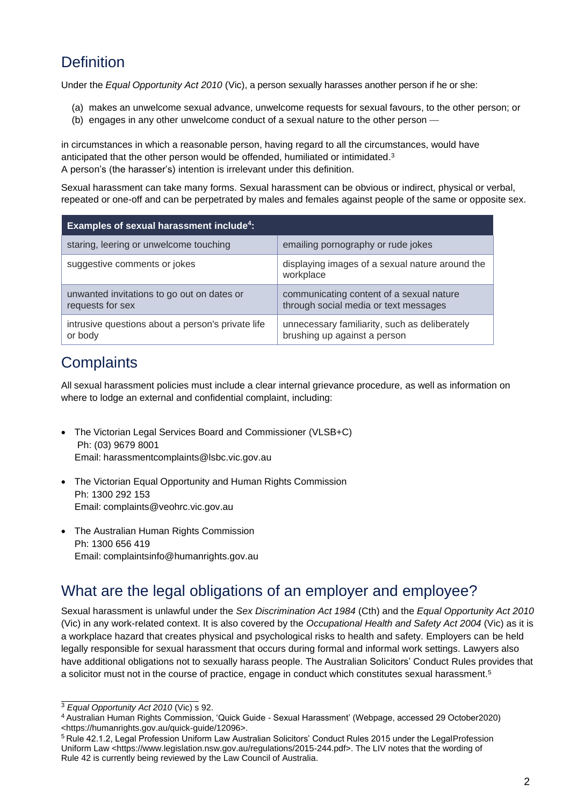### **Definition**

Under the *Equal Opportunity Act 2010* (Vic), a person sexually harasses another person if he or she:

- (a) makes an unwelcome sexual advance, unwelcome requests for sexual favours, to the other person; or
- (b) engages in any other unwelcome conduct of a sexual nature to the other person —

in circumstances in which a reasonable person, having regard to all the circumstances, would have anticipated that the other person would be offended, humiliated or intimidated.<sup>3</sup> A person's (the harasser's) intention is irrelevant under this definition.

Sexual harassment can take many forms. Sexual harassment can be obvious or indirect, physical or verbal, repeated or one-off and can be perpetrated by males and females against people of the same or opposite sex.

| Examples of sexual harassment include <sup>4</sup> :           |                                                                                   |
|----------------------------------------------------------------|-----------------------------------------------------------------------------------|
| staring, leering or unwelcome touching                         | emailing pornography or rude jokes                                                |
| suggestive comments or jokes                                   | displaying images of a sexual nature around the<br>workplace                      |
| unwanted invitations to go out on dates or<br>requests for sex | communicating content of a sexual nature<br>through social media or text messages |
| intrusive questions about a person's private life<br>or body   | unnecessary familiarity, such as deliberately<br>brushing up against a person     |

# **Complaints**

All sexual harassment policies must include a clear internal grievance procedure, as well as information on where to lodge an external and confidential complaint, including:

- The Victorian Legal Services Board and Commissioner (VLSB+C) Ph: (03) 9679 8001 Email: [harassmentcomplaints@lsbc.vic.gov.au](mailto:harassmentcomplaints@lsbc.vic.gov.au)
- The Victorian Equal Opportunity and Human Rights Commission Ph: 1300 292 153 Email: [complaints@veohrc.vic.gov.au](mailto:complaints@veohrc.vic.gov.au)
- The Australian Human Rights Commission Ph: 1300 656 419 Email: [complaintsinfo@humanrights.gov.au](mailto:complaintsinfo@humanrights.gov.au)

# What are the legal obligations of an employer and employee?

Sexual harassment is unlawful under the *Sex Discrimination Act 1984* (Cth) and the *Equal Opportunity Act 2010*  (Vic) in any work-related context. It is also covered by the *Occupational Health and Safety Act 2004* (Vic) as it is a workplace hazard that creates physical and psychological risks to health and safety. Employers can be held legally responsible for sexual harassment that occurs during formal and informal work settings. Lawyers also have additional obligations not to sexually harass people. The Australian Solicitors' Conduct Rules provides that a solicitor must not in the course of practice, engage in conduct which constitutes sexual harassment.<sup>5</sup>

<sup>3</sup> *Equal Opportunity Act 2010* (Vic) s 92.

<sup>4</sup> Australian Human Rights Commission, 'Quick Guide - Sexual Harassment' (Webpage, accessed 29 October2020) <https://humanrights.gov.au/quick-guide/12096>.

<sup>5</sup> Rule 42.1.2, Legal Profession Uniform Law Australian Solicitors' Conduct Rules 2015 under the LegalProfession Uniform Law <http[s://www.](http://www.legislation.nsw.gov.au/regulations/2015-244.pdf)l[egislation.nsw.gov.au/regulations/2015-244.pdf>.](http://www.legislation.nsw.gov.au/regulations/2015-244.pdf) The LIV notes that the wording of Rule 42 is currently being reviewed by the Law Council of Australia.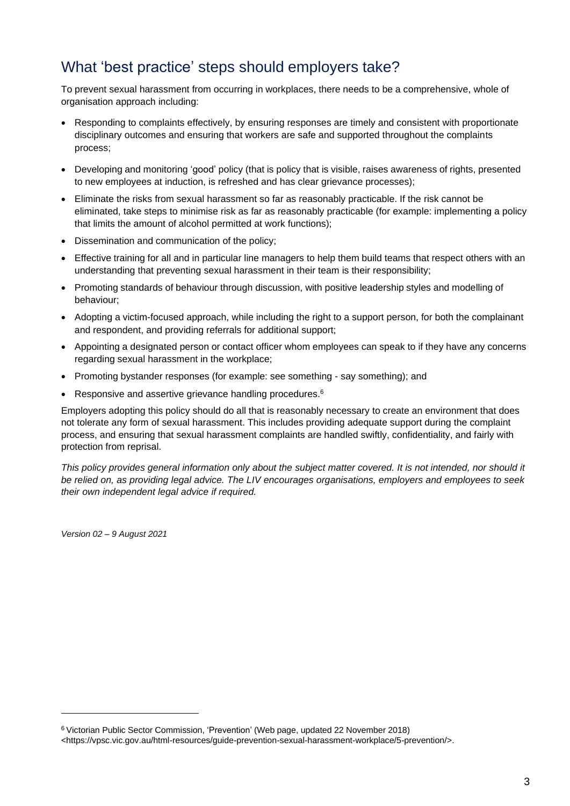### What 'best practice' steps should employers take?

To prevent sexual harassment from occurring in workplaces, there needs to be a comprehensive, whole of organisation approach including:

- Responding to complaints effectively, by ensuring responses are timely and consistent with proportionate disciplinary outcomes and ensuring that workers are safe and supported throughout the complaints process;
- Developing and monitoring 'good' policy (that is policy that is visible, raises awareness of rights, presented to new employees at induction, is refreshed and has clear grievance processes);
- Eliminate the risks from sexual harassment so far as reasonably practicable. If the risk cannot be eliminated, take steps to minimise risk as far as reasonably practicable (for example: implementing a policy that limits the amount of alcohol permitted at work functions);
- Dissemination and communication of the policy;
- Effective training for all and in particular line managers to help them build teams that respect others with an understanding that preventing sexual harassment in their team is their responsibility;
- Promoting standards of behaviour through discussion, with positive leadership styles and modelling of behaviour;
- Adopting a victim-focused approach, while including the right to a support person, for both the complainant and respondent, and providing referrals for additional support;
- Appointing a designated person or contact officer whom employees can speak to if they have any concerns regarding sexual harassment in the workplace;
- Promoting bystander responses (for example: see something say something); and
- Responsive and assertive grievance handling procedures.<sup>6</sup>

Employers adopting this policy should do all that is reasonably necessary to create an environment that does not tolerate any form of sexual harassment. This includes providing adequate support during the complaint process, and ensuring that sexual harassment complaints are handled swiftly, confidentiality, and fairly with protection from reprisal.

This policy provides general information only about the subject matter covered. It is not intended, nor should it *be relied on, as providing legal advice. The LIV encourages organisations, employers and employees to seek their own independent legal advice if required.*

*Version 02 – 9 August 2021*

<sup>6</sup>Victorian Public Sector Commission, 'Prevention' (Web page, updated 22 November 2018) <https://vpsc.vic.gov.au/html-resources/guide-prevention-sexual-harassment-workplace/5-prevention/>.